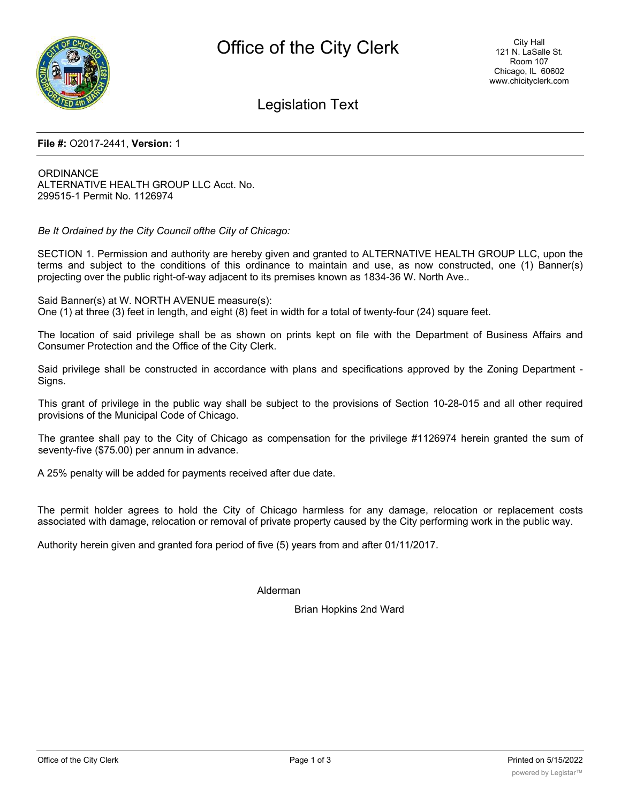

## Legislation Text

#### **File #:** O2017-2441, **Version:** 1

**ORDINANCE** ALTERNATIVE HEALTH GROUP LLC Acct. No. 299515-1 Permit No. 1126974

*Be It Ordained by the City Council ofthe City of Chicago:*

SECTION 1. Permission and authority are hereby given and granted to ALTERNATIVE HEALTH GROUP LLC, upon the terms and subject to the conditions of this ordinance to maintain and use, as now constructed, one (1) Banner(s) projecting over the public right-of-way adjacent to its premises known as 1834-36 W. North Ave..

Said Banner(s) at W. NORTH AVENUE measure(s): One (1) at three (3) feet in length, and eight (8) feet in width for a total of twenty-four (24) square feet.

The location of said privilege shall be as shown on prints kept on file with the Department of Business Affairs and Consumer Protection and the Office of the City Clerk.

Said privilege shall be constructed in accordance with plans and specifications approved by the Zoning Department - Signs.

This grant of privilege in the public way shall be subject to the provisions of Section 10-28-015 and all other required provisions of the Municipal Code of Chicago.

The grantee shall pay to the City of Chicago as compensation for the privilege #1126974 herein granted the sum of seventy-five (\$75.00) per annum in advance.

A 25% penalty will be added for payments received after due date.

The permit holder agrees to hold the City of Chicago harmless for any damage, relocation or replacement costs associated with damage, relocation or removal of private property caused by the City performing work in the public way.

Authority herein given and granted fora period of five (5) years from and after 01/11/2017.

#### Alderman

Brian Hopkins 2nd Ward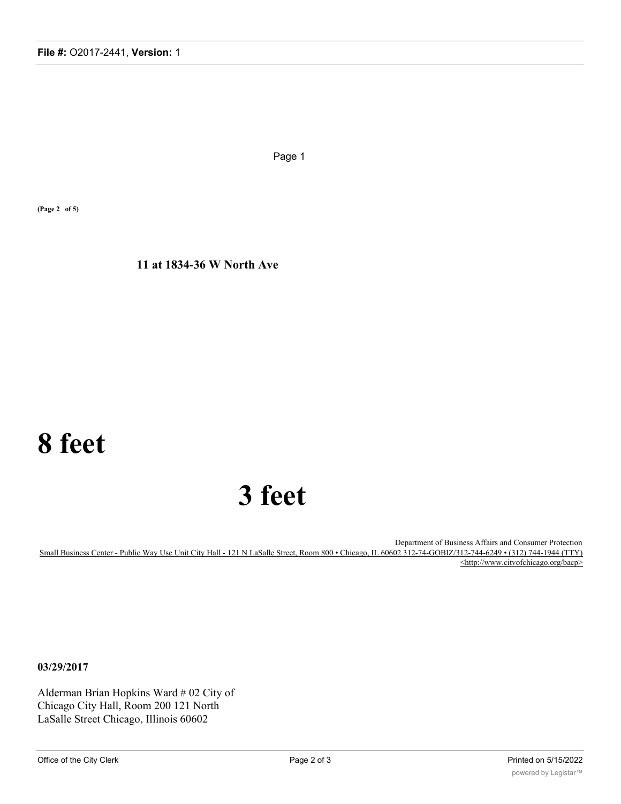Page 1

**(Page 2 of 5)**

**11 at 1834-36 W North Ave**

# **8 feet**

# **3 feet**

Department of Business Affairs and Consumer Protection Small Business Center - Public Way Use Unit City Hall - 121 N LaSalle Street, Room 800 • Chicago, IL 60602 312-74-GOBIZ/312-744-6249 • (312) 744-1944 (TTY) <http://www.citvofchicago.org/bacp>

**03/29/2017**

Alderman Brian Hopkins Ward # 02 City of Chicago City Hall, Room 200 121 North LaSalle Street Chicago, Illinois 60602